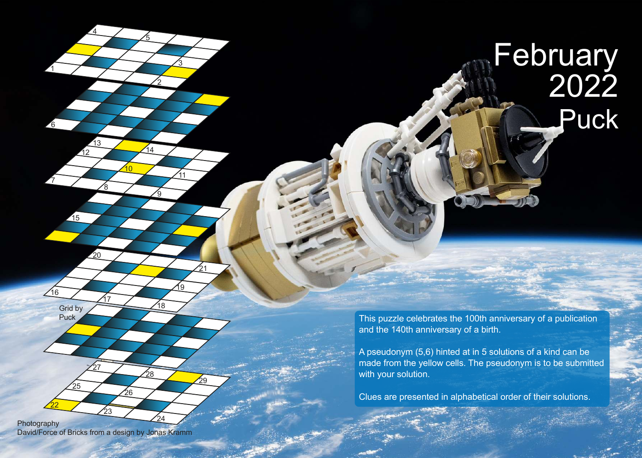## Puck February 2022

This puzzle celebrates the 100th anniversary of a publication and the 140th anniversary of a birth.

A pseudonym (5,6) hinted at in 5 solutions of a kind can be made from the yellow cells. The pseudonym is to be submitted with your solution.

Clues are presented in alphabetical order of their solutions.

24 Photography David/Force of Bricks from a design by Jonas Kramm

23

26

27

1

7

6

 $/16$ 

22

25

Grid by<br>Puck

4

8

20

<u>17</u>

13

12

215

10

2

<u>9</u>

18

<u> 19</u>

28

14

5

<u>3</u>

11

21

 $\overline{29}$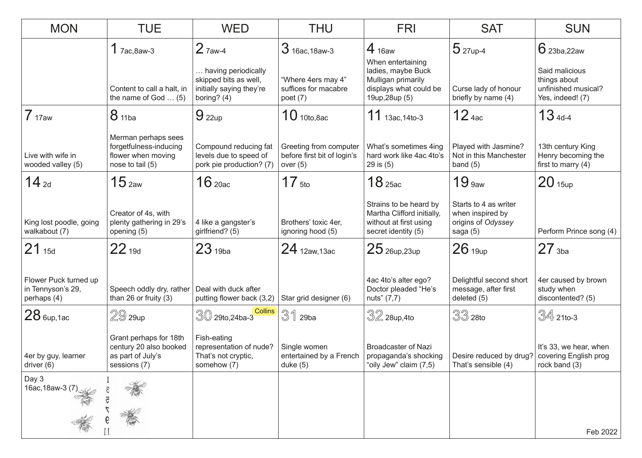| <b>MON</b>                                                | <b>TUE</b>                                                                              | <b>WED</b>                                                                              | <b>THU</b>                                                          | <b>FRI</b>                                                                                                | <b>SAT</b>                                                                  | <b>SUN</b>                                                                |
|-----------------------------------------------------------|-----------------------------------------------------------------------------------------|-----------------------------------------------------------------------------------------|---------------------------------------------------------------------|-----------------------------------------------------------------------------------------------------------|-----------------------------------------------------------------------------|---------------------------------------------------------------------------|
|                                                           | $1$ 7ac, 8aw-3                                                                          | $2$ $7$ aw-4                                                                            | $3$ 16ac, 18aw-3                                                    | $4_{16aw}$                                                                                                | $5$ 27up-4                                                                  | $6$ 23ba, 22aw                                                            |
|                                                           | Content to call a halt, in<br>the name of God $\dots$ (5)                               | having periodically<br>skipped bits as well,<br>initially saying they're<br>boring? (4) | "Where 4ers may 4"<br>suffices for macabre<br>poet $(7)$            | When entertaining<br>ladies, maybe Buck<br>Mulligan primarily<br>displays what could be<br>19up, 28up (5) | Curse lady of honour<br>briefly by name (4)                                 | Said malicious<br>things about<br>unfinished musical?<br>Yes, indeed! (7) |
| 7 <sub>17aw</sub>                                         | 8 11ba                                                                                  | $9_{22up}$                                                                              | $10$ 10to, 8ac                                                      | $11$ 13ac, 14to-3                                                                                         | 12 <sub>4ac</sub>                                                           | $134d-4$                                                                  |
| Live with wife in<br>wooded valley (5)                    | Merman perhaps sees<br>forgetfulness-inducing<br>flower when moving<br>nose to tail (5) | Compound reducing fat<br>levels due to speed of<br>pork pie production? (7)             | Greeting from computer<br>before first bit of login's<br>over $(5)$ | What's sometimes 4ing<br>hard work like 4ac 4to's<br>29 is (5)                                            | Played with Jasmine?<br>Not in this Manchester<br>band $(5)$                | 13th century King<br>Henry becoming the<br>first to marry $(4)$           |
| $14$ 2d                                                   | 15 <sub>2aw</sub>                                                                       | $16$ 20ac                                                                               | 17 <sub>5to</sub>                                                   | 18 <sub>25ac</sub>                                                                                        | 19 <sub>9aw</sub>                                                           | $20$ 15up                                                                 |
| King lost poodle, going<br>walkabout (7)                  | Creator of 4s, with<br>plenty gathering in 29's<br>opening (5)                          | 4 like a gangster's<br>girlfriend? (5)                                                  | Brothers' toxic 4er,<br>ignoring hood (5)                           | Strains to be heard by<br>Martha Clifford initially,<br>without at first using<br>secret identity (5)     | Starts to 4 as writer<br>when inspired by<br>origins of Odyssey<br>saga (5) | Perform Prince song (4)                                                   |
| $21_{15d}$                                                | $22_{19d}$                                                                              | 23 <sub>19ba</sub>                                                                      | $24$ 12aw, 13ac                                                     | $25$ 26up, 23up                                                                                           | 26 <sub>19up</sub>                                                          | $27$ <sub>3ba</sub>                                                       |
| Flower Puck turned up<br>in Tennyson's 29,<br>perhaps (4) | Speech oddly dry, rather<br>than 26 or fruity $(3)$                                     | Deal with duck after<br>putting flower back (3,2)                                       | Star grid designer (6)                                              | 4ac 4to's alter ego?<br>Doctor pleaded "He's<br>nuts" (7,7)                                               | Delightful second short<br>message, after first<br>deleted (5)              | 4er caused by brown<br>study when<br>discontented? (5)                    |
| $28$ 6up, 1ac                                             | $29$ 29up                                                                               | <b>Collins</b><br>$30$ 29to, 24ba-3                                                     | 31<br>29ba                                                          | $32$ 28up,4to                                                                                             | $33$ 28to                                                                   | $\mathbb{S}4$ 21to-3                                                      |
| 4er by guy, learner<br>driver (6)                         | Grant perhaps for 18th<br>century 20 also booked<br>as part of July's<br>sessions (7)   | Fish-eating<br>representation of nude?<br>That's not cryptic,<br>somehow (7)            | Single women<br>entertained by a French<br>duke $(5)$               | <b>Broadcaster of Nazi</b><br>propaganda's shocking<br>"oily Jew" claim (7,5)                             | Desire reduced by drug?<br>That's sensible (4)                              | It's 33, we hear, when<br>covering English prog<br>rock band (3)          |
| Day 3<br>16ac, 18aw-3 (7)                                 |                                                                                         |                                                                                         |                                                                     |                                                                                                           |                                                                             |                                                                           |
|                                                           |                                                                                         |                                                                                         |                                                                     |                                                                                                           |                                                                             | Feb 2022                                                                  |